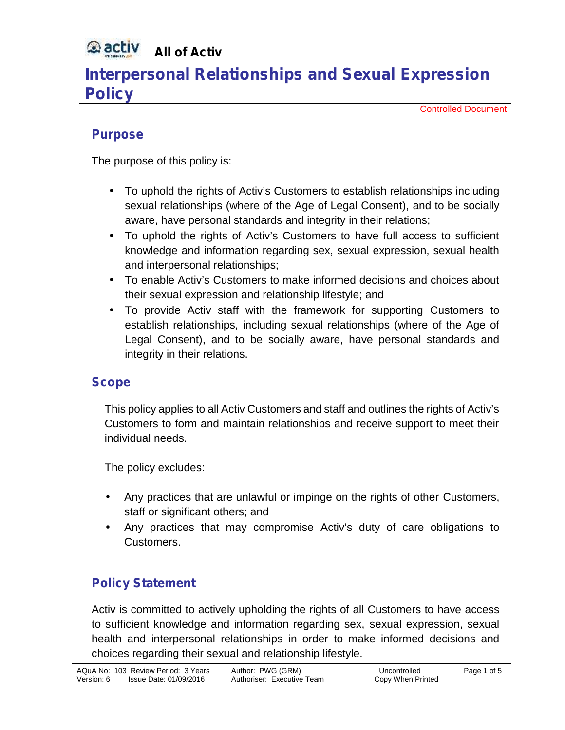#### **Qactiv All of Activ**

# **Interpersonal Relationships and Sexual Expression Policy**

Controlled Document

### **Purpose**

The purpose of this policy is:

- To uphold the rights of Activ's Customers to establish relationships including sexual relationships (where of the Age of Legal Consent), and to be socially aware, have personal standards and integrity in their relations;
- To uphold the rights of Activ's Customers to have full access to sufficient knowledge and information regarding sex, sexual expression, sexual health and interpersonal relationships;
- To enable Activ's Customers to make informed decisions and choices about their sexual expression and relationship lifestyle; and
- To provide Activ staff with the framework for supporting Customers to establish relationships, including sexual relationships (where of the Age of Legal Consent), and to be socially aware, have personal standards and integrity in their relations.

### **Scope**

This policy applies to all Activ Customers and staff and outlines the rights of Activ's Customers to form and maintain relationships and receive support to meet their individual needs.

The policy excludes:

- Any practices that are unlawful or impinge on the rights of other Customers, staff or significant others; and
- Any practices that may compromise Activ's duty of care obligations to Customers.

### **Policy Statement**

Activ is committed to actively upholding the rights of all Customers to have access to sufficient knowledge and information regarding sex, sexual expression, sexual health and interpersonal relationships in order to make informed decisions and choices regarding their sexual and relationship lifestyle.

|            | AQuA No: 103 Review Period: 3 Years | Author: PWG (GRM)          | Uncontrolled      | Page 1 of 5 |
|------------|-------------------------------------|----------------------------|-------------------|-------------|
| Version: 6 | Issue Date: 01/09/2016              | Authoriser: Executive Team | Copy When Printed |             |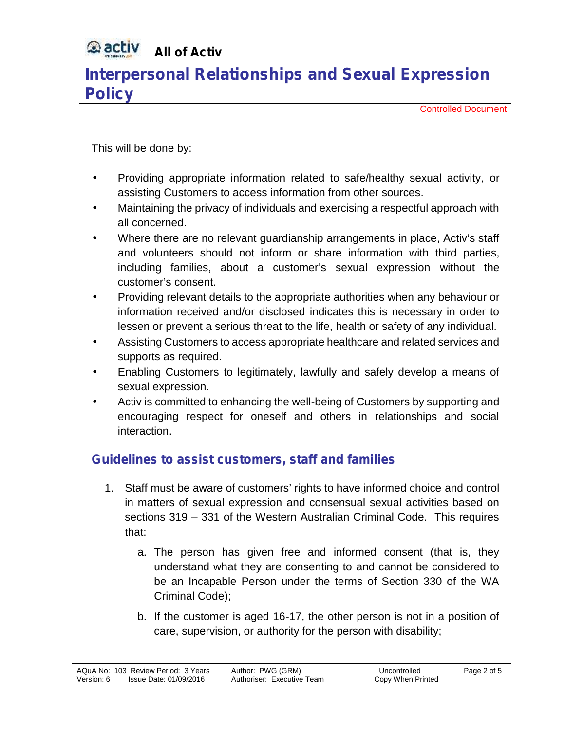#### **Qactiv All of Activ**

## **Interpersonal Relationships and Sexual Expression Policy**

Controlled Document

This will be done by:

- Providing appropriate information related to safe/healthy sexual activity, or assisting Customers to access information from other sources.
- Maintaining the privacy of individuals and exercising a respectful approach with all concerned.
- Where there are no relevant guardianship arrangements in place, Activ's staff and volunteers should not inform or share information with third parties, including families, about a customer's sexual expression without the customer's consent.
- Providing relevant details to the appropriate authorities when any behaviour or information received and/or disclosed indicates this is necessary in order to lessen or prevent a serious threat to the life, health or safety of any individual.
- Assisting Customers to access appropriate healthcare and related services and supports as required.
- Enabling Customers to legitimately, lawfully and safely develop a means of sexual expression.
- Activ is committed to enhancing the well-being of Customers by supporting and encouraging respect for oneself and others in relationships and social interaction.

### **Guidelines to assist customers, staff and families**

- 1. Staff must be aware of customers' rights to have informed choice and control in matters of sexual expression and consensual sexual activities based on sections 319 – 331 of the Western Australian Criminal Code. This requires that:
	- a. The person has given free and informed consent (that is, they understand what they are consenting to and cannot be considered to be an Incapable Person under the terms of Section 330 of the WA Criminal Code);
	- b. If the customer is aged 16-17, the other person is not in a position of care, supervision, or authority for the person with disability;

|            | AQuA No: 103 Review Period: 3 Years | Author: PWG (GRM)          | Uncontrolled      | Page 2 of 5 |
|------------|-------------------------------------|----------------------------|-------------------|-------------|
| Version: 6 | Issue Date: 01/09/2016              | Authoriser: Executive Team | Copy When Printed |             |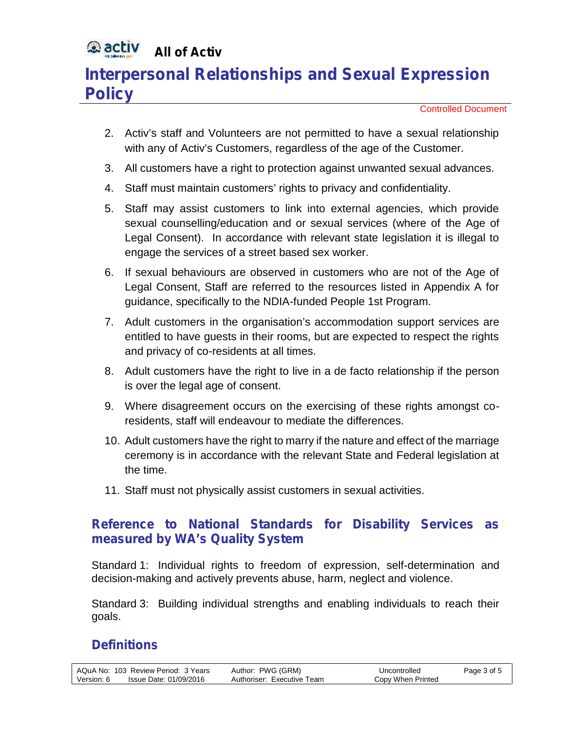#### **Qactiv All of Activ**

# **Interpersonal Relationships and Sexual Expression Policy**

Controlled Document

- 2. Activ's staff and Volunteers are not permitted to have a sexual relationship with any of Activ's Customers, regardless of the age of the Customer.
- 3. All customers have a right to protection against unwanted sexual advances.
- 4. Staff must maintain customers' rights to privacy and confidentiality.
- 5. Staff may assist customers to link into external agencies, which provide sexual counselling/education and or sexual services (where of the Age of Legal Consent). In accordance with relevant state legislation it is illegal to engage the services of a street based sex worker.
- 6. If sexual behaviours are observed in customers who are not of the Age of Legal Consent, Staff are referred to the resources listed in Appendix A for guidance, specifically to the NDIA-funded People 1st Program.
- 7. Adult customers in the organisation's accommodation support services are entitled to have guests in their rooms, but are expected to respect the rights and privacy of co-residents at all times.
- 8. Adult customers have the right to live in a de facto relationship if the person is over the legal age of consent.
- 9. Where disagreement occurs on the exercising of these rights amongst coresidents, staff will endeavour to mediate the differences.
- 10. Adult customers have the right to marry if the nature and effect of the marriage ceremony is in accordance with the relevant State and Federal legislation at the time.
- 11. Staff must not physically assist customers in sexual activities.

### **Reference to National Standards for Disability Services as measured by WA's Quality System**

Standard 1: Individual rights to freedom of expression, self-determination and decision-making and actively prevents abuse, harm, neglect and violence.

Standard 3: Building individual strengths and enabling individuals to reach their goals.

## **Definitions**

|            | AQuA No: 103 Review Period: 3 Years | Author: PWG (GRM)          | Uncontrolled      | Page 3 of 5 |  |
|------------|-------------------------------------|----------------------------|-------------------|-------------|--|
| Version: 6 | lssue Date: 01/09/2016              | Authoriser: Executive Team | Copy When Printed |             |  |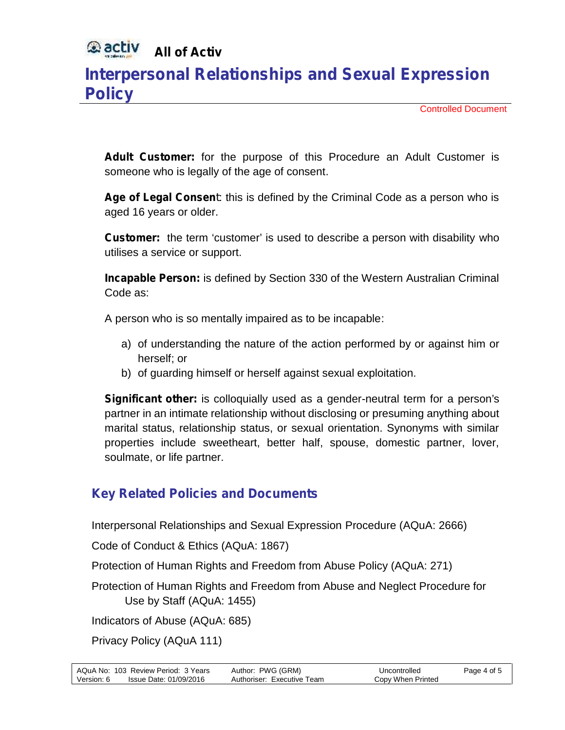#### **Q** activ **All of Activ**

# **Interpersonal Relationships and Sexual Expression Policy**

Controlled Document

*Adult Customer:* for the purpose of this Procedure an Adult Customer is someone who is legally of the age of consent.

*Age of Legal Consent*: this is defined by the Criminal Code as a person who is aged 16 years or older.

**Customer:** the term 'customer' is used to describe a person with disability who utilises a service or support.

*Incapable Person:* is defined by Section 330 of the Western Australian Criminal Code as:

A person who is so mentally impaired as to be incapable:

- a) of understanding the nature of the action performed by or against him or herself; or
- b) of guarding himself or herself against sexual exploitation.

*Significant other:* is colloquially used as a gender-neutral term for a person's partner in an intimate relationship without disclosing or presuming anything about marital status, relationship status, or sexual orientation. Synonyms with similar properties include sweetheart, better half, spouse, domestic partner, lover, soulmate, or life partner.

### **Key Related Policies and Documents**

Interpersonal Relationships and Sexual Expression Procedure (AQuA: 2666)

Code of Conduct & Ethics (AQuA: 1867)

Protection of Human Rights and Freedom from Abuse Policy (AQuA: 271)

Protection of Human Rights and Freedom from Abuse and Neglect Procedure for Use by Staff (AQuA: 1455)

Indicators of Abuse (AQuA: 685)

Privacy Policy (AQuA 111)